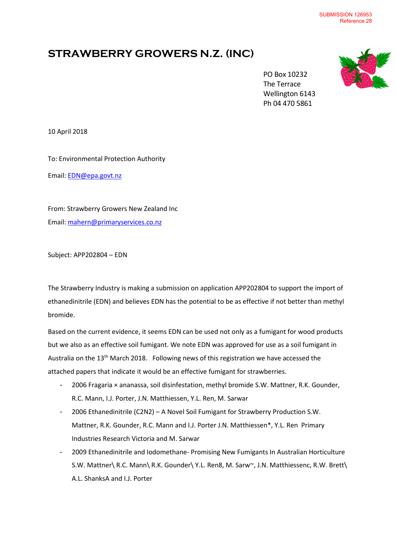## **STRAWBERRY GROWERS N.Z. (INC)**



 PO Box 10232 The Terrace Wellington 6143 Ph 04 470 5861

10 April 2018

To: Environmental Protection Authority Email: [EDN@epa.govt.nz](mailto:EDN@epa.govt.nz)

From: Strawberry Growers New Zealand Inc Email: [mahern@primaryservices.co.nz](mailto:mahern@primaryservices.co.nz)

Subject: APP202804 – EDN

The Strawberry Industry is making a submission on application APP202804 to support the import of ethanedinitrile (EDN) and believes EDN has the potential to be as effective if not better than methyl bromide.

Based on the current evidence, it seems EDN can be used not only as a fumigant for wood products but we also as an effective soil fumigant. We note EDN was approved for use as a soil fumigant in Australia on the 13<sup>th</sup> March 2018. Following news of this registration we have accessed the attached papers that indicate it would be an effective fumigant for strawberries.

- 2006 Fragaria × ananassa, soil disinfestation, methyl bromide S.W. Mattner, R.K. Gounder, R.C. Mann, I.J. Porter, J.N. Matthiessen, Y.L. Ren, M. Sarwar
- 2006 Ethanedinitrile (C2N2) A Novel Soil Fumigant for Strawberry Production S.W. Mattner, R.K. Gounder, R.C. Mann and I.J. Porter J.N. Matthiessen\*, Y.L. Ren Primary Industries Research Victoria and M. Sarwar
- 2009 Ethanedinitrile and Iodomethane- Promising New Fumigants In Australian Horticulture S.W. Mattner\ R.C. Mann\ R.K. Gounder\ Y.L. Ren8, M. Sarw~, J.N. Matthiessenc, R.W. Brett\ A.L. ShanksA and I.J. Porter